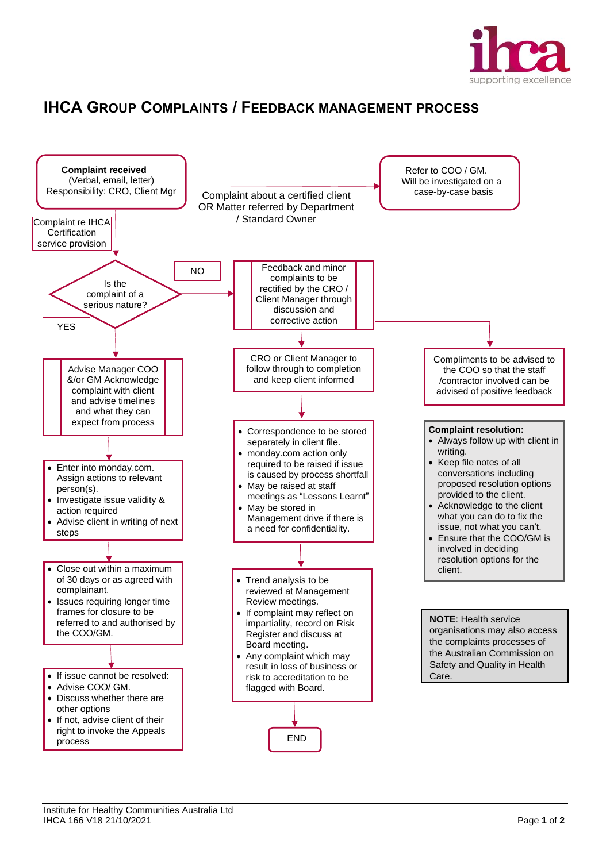

## **IHCA GROUP COMPLAINTS / FEEDBACK MANAGEMENT PROCESS**